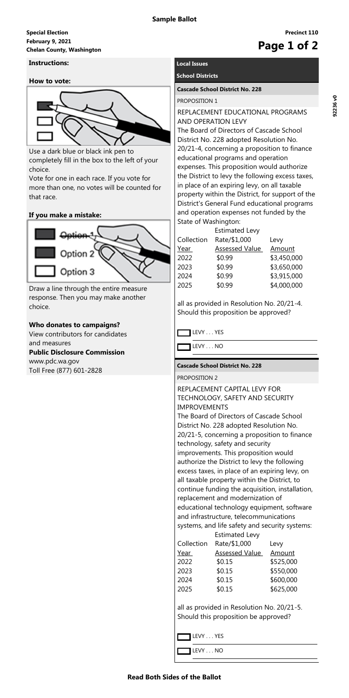### **Read Both Sides of the Ballot**

**Precinct 110**

# **February 9, 2021 Special Election Chelan County, Washington Page 1 of 2**

# **Instructions:**

## **How to vote:**



Use a dark blue or black ink pen to completely fill in the box to the left of your choice.

Vote for one in each race. If you vote for more than one, no votes will be counted for that race.

# **If you make a mistake:**



Draw a line through the entire measure response. Then you may make another choice.

# **Who donates to campaigns?**

View contributors for candidates and measures **Public Disclosure Commission** www.pdc.wa.gov Toll Free (877) 601-2828

# **Local Issues**

# **School Districts**

#### **Cascade School District No. 228**

#### PROPOSITION 1

# REPLACEMENT EDUCATIONAL PROGRAMS AND OPERATION LEVY

The Board of Directors of Cascade School District No. 228 adopted Resolution No. 20/21-4, concerning a proposition to finance educational programs and operation expenses. This proposition would authorize the District to levy the following excess taxes, in place of an expiring levy, on all taxable property within the District, for support of the District's General Fund educational programs and operation expenses not funded by the State of Washington:

|            | <b>Estimated Levy</b> |               |  |
|------------|-----------------------|---------------|--|
| Collection | Rate/\$1,000          | Levy          |  |
| Year       | <b>Assessed Value</b> | <u>Amount</u> |  |
| 2022       | \$0.99                | \$3,450,000   |  |
| 2023       | \$0.99                | \$3,650,000   |  |
| 2024       | \$0.99                | \$3,915,000   |  |
| 2025       | \$0.99                | \$4,000,000   |  |

all as provided in Resolution No. 20/21-4. Should this proposition be approved?

LEVY . . . YES

LEVY . . . NO

### **Cascade School District No. 228**

#### PROPOSITION 2

# REPLACEMENT CAPITAL LEVY FOR TECHNOLOGY, SAFETY AND SECURITY IMPROVEMENTS The Board of Directors of Cascade School

District No. 228 adopted Resolution No. 20/21-5, concerning a proposition to finance technology, safety and security improvements. This proposition would authorize the District to levy the following excess taxes, in place of an expiring levy, on all taxable property within the District, to continue funding the acquisition, installation, replacement and modernization of educational technology equipment, software

and infrastructure, telecommunications systems, and life safety and security systems:

| <b>Estimated Levy</b> |                       |               |  |  |
|-----------------------|-----------------------|---------------|--|--|
| Collection            | Rate/\$1,000          | Levy          |  |  |
| Year                  | <b>Assessed Value</b> | <u>Amount</u> |  |  |
| 2022                  | \$0.15                | \$525,000     |  |  |
| 2023                  | \$0.15                | \$550,000     |  |  |
| 2024                  | \$0.15                | \$600,000     |  |  |
| 2025                  | \$0.15                | \$625,000     |  |  |

all as provided in Resolution No. 20/21-5. Should this proposition be approved?